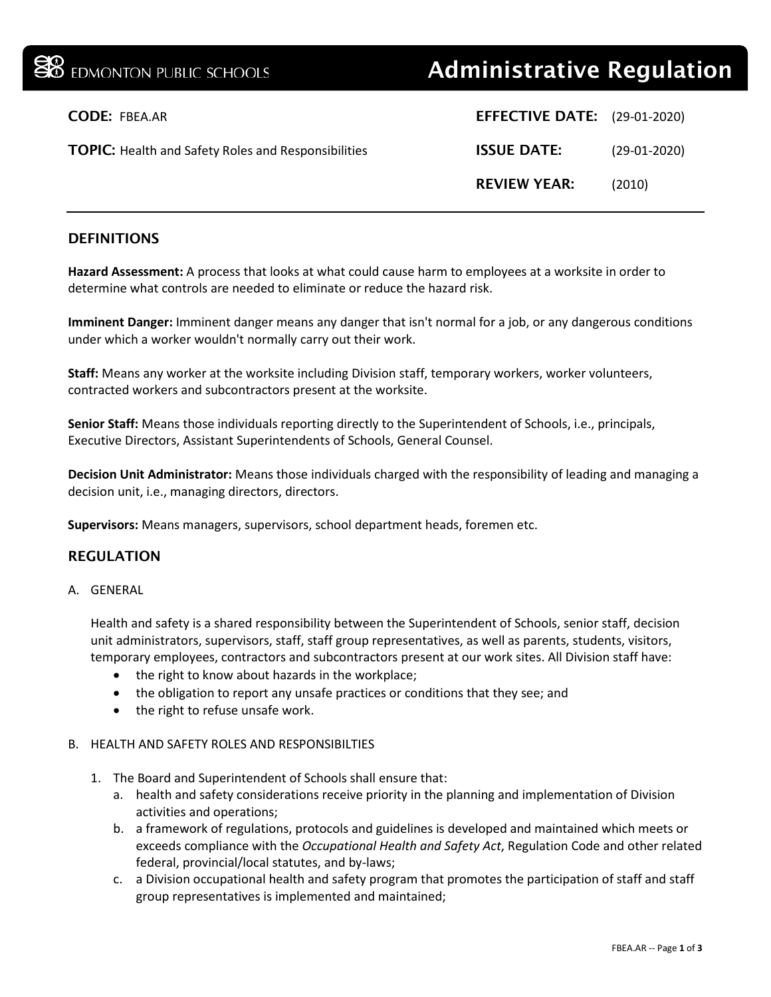# **38** EDMONTON PUBLIC SCHOOLS **Administrative Regulation**

| <b>CODE: FBEA.AR</b>                                       | <b>EFFECTIVE DATE:</b> (29-01-2020) |                |
|------------------------------------------------------------|-------------------------------------|----------------|
| <b>TOPIC:</b> Health and Safety Roles and Responsibilities | <b>ISSUE DATE:</b>                  | $(29-01-2020)$ |
|                                                            | <b>REVIEW YEAR:</b>                 | (2010)         |

## DEFINITIONS

**Hazard Assessment:** A process that looks at what could cause harm to employees at a worksite in order to determine what controls are needed to eliminate or reduce the hazard risk.

**Imminent Danger:** Imminent danger means any danger that isn't normal for a job, or any dangerous conditions under which a worker wouldn't normally carry out their work.

**Staff:** Means any worker at the worksite including Division staff, temporary workers, worker volunteers, contracted workers and subcontractors present at the worksite.

**Senior Staff:** Means those individuals reporting directly to the Superintendent of Schools, i.e., principals, Executive Directors, Assistant Superintendents of Schools, General Counsel.

**Decision Unit Administrator:** Means those individuals charged with the responsibility of leading and managing a decision unit, i.e., managing directors, directors.

**Supervisors:** Means managers, supervisors, school department heads, foremen etc.

## REGULATION

#### A. GENERAL

Health and safety is a shared responsibility between the Superintendent of Schools, senior staff, decision unit administrators, supervisors, staff, staff group representatives, as well as parents, students, visitors, temporary employees, contractors and subcontractors present at our work sites. All Division staff have:

- the right to know about hazards in the workplace;
- the obligation to report any unsafe practices or conditions that they see; and
- the right to refuse unsafe work.

### B. HEALTH AND SAFETY ROLES AND RESPONSIBILTIES

- 1. The Board and Superintendent of Schools shall ensure that:
	- a. health and safety considerations receive priority in the planning and implementation of Division activities and operations;
	- b. a framework of regulations, protocols and guidelines is developed and maintained which meets or exceeds compliance with the *Occupational Health and Safety Act*, Regulation Code and other related federal, provincial/local statutes, and by-laws;
	- c. a Division occupational health and safety program that promotes the participation of staff and staff group representatives is implemented and maintained;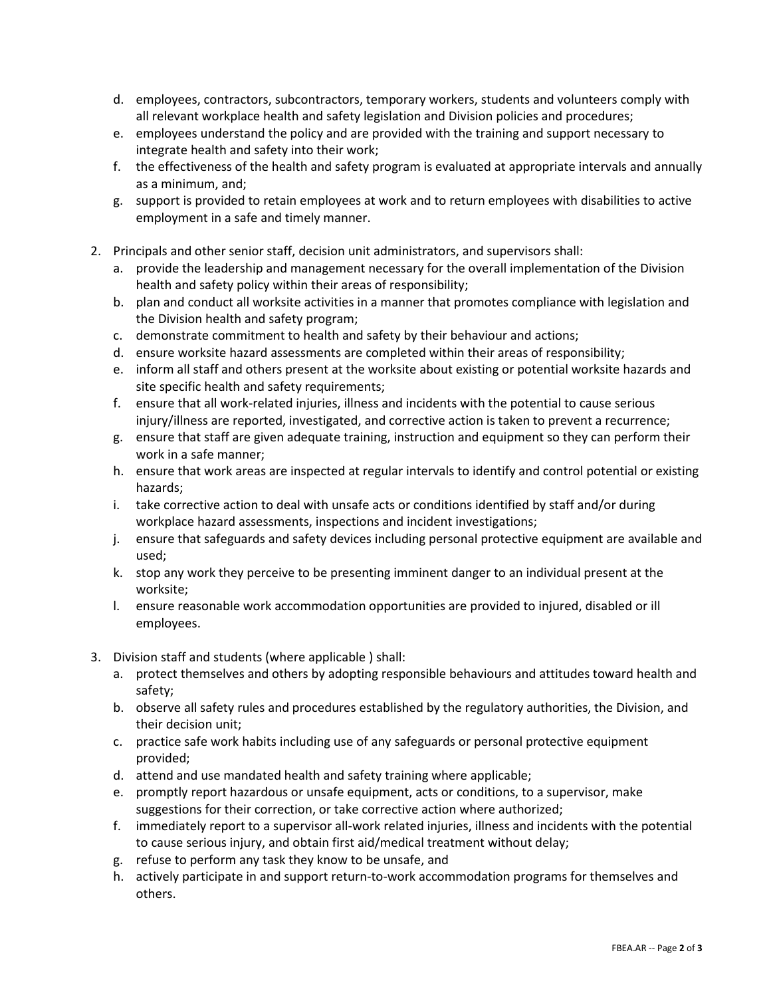- d. employees, contractors, subcontractors, temporary workers, students and volunteers comply with all relevant workplace health and safety legislation and Division policies and procedures;
- e. employees understand the policy and are provided with the training and support necessary to integrate health and safety into their work;
- f. the effectiveness of the health and safety program is evaluated at appropriate intervals and annually as a minimum, and;
- g. support is provided to retain employees at work and to return employees with disabilities to active employment in a safe and timely manner.
- 2. Principals and other senior staff, decision unit administrators, and supervisors shall:
	- a. provide the leadership and management necessary for the overall implementation of the Division health and safety policy within their areas of responsibility;
	- b. plan and conduct all worksite activities in a manner that promotes compliance with legislation and the Division health and safety program;
	- c. demonstrate commitment to health and safety by their behaviour and actions;
	- d. ensure worksite hazard assessments are completed within their areas of responsibility;
	- e. inform all staff and others present at the worksite about existing or potential worksite hazards and site specific health and safety requirements;
	- f. ensure that all work-related injuries, illness and incidents with the potential to cause serious injury/illness are reported, investigated, and corrective action is taken to prevent a recurrence;
	- g. ensure that staff are given adequate training, instruction and equipment so they can perform their work in a safe manner;
	- h. ensure that work areas are inspected at regular intervals to identify and control potential or existing hazards;
	- i. take corrective action to deal with unsafe acts or conditions identified by staff and/or during workplace hazard assessments, inspections and incident investigations;
	- j. ensure that safeguards and safety devices including personal protective equipment are available and used;
	- k. stop any work they perceive to be presenting imminent danger to an individual present at the worksite;
	- l. ensure reasonable work accommodation opportunities are provided to injured, disabled or ill employees.
- 3. Division staff and students (where applicable ) shall:
	- a. protect themselves and others by adopting responsible behaviours and attitudes toward health and safety;
	- b. observe all safety rules and procedures established by the regulatory authorities, the Division, and their decision unit;
	- c. practice safe work habits including use of any safeguards or personal protective equipment provided;
	- d. attend and use mandated health and safety training where applicable;
	- e. promptly report hazardous or unsafe equipment, acts or conditions, to a supervisor, make suggestions for their correction, or take corrective action where authorized;
	- f. immediately report to a supervisor all-work related injuries, illness and incidents with the potential to cause serious injury, and obtain first aid/medical treatment without delay;
	- g. refuse to perform any task they know to be unsafe, and
	- h. actively participate in and support return-to-work accommodation programs for themselves and others.